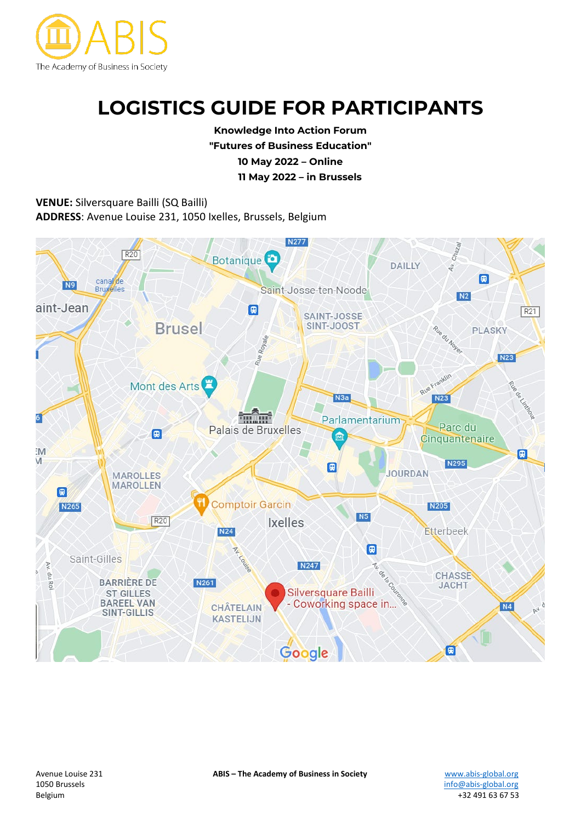

# **LOGISTICS GUIDE FOR PARTICIPANTS**

**Knowledge Into Action Forum "Futures of Business Education" 10 May 2022 – Online 11 May 2022 – in Brussels**

**VENUE:** Silversquare Bailli (SQ Bailli) **ADDRESS**: Avenue Louise 231, 1050 Ixelles, Brussels, Belgium



[info@abis-global.org](mailto:info@abis-global.org) Belgium +32 491 63 67 53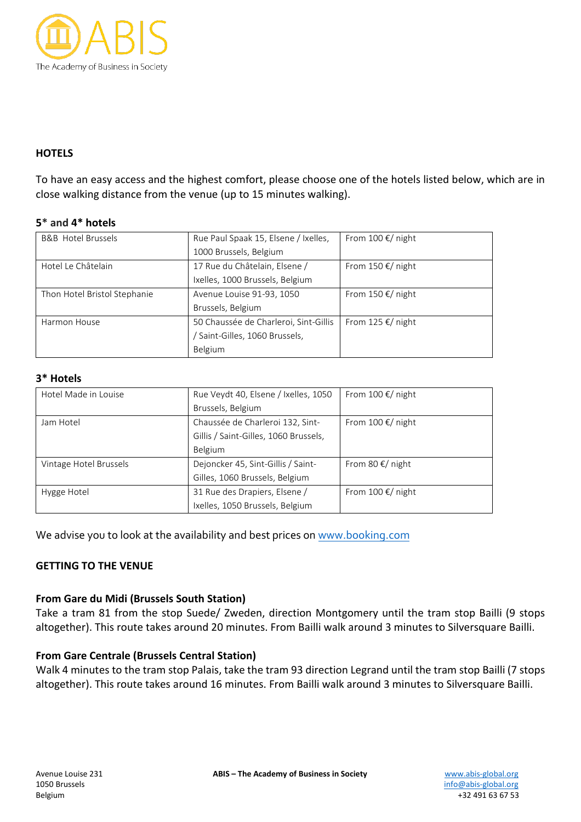

## **HOTELS**

To have an easy access and the highest comfort, please choose one of the hotels listed below, which are in close walking distance from the venue (up to 15 minutes walking).

## **5\* and 4\* hotels**

| <b>B&amp;B</b> Hotel Brussels | Rue Paul Spaak 15, Elsene / Ixelles,  | From 100 $\epsilon$ / night |
|-------------------------------|---------------------------------------|-----------------------------|
|                               | 1000 Brussels, Belgium                |                             |
| Hotel Le Châtelain            | 17 Rue du Châtelain, Elsene /         | From 150 $\epsilon$ / night |
|                               | Ixelles, 1000 Brussels, Belgium       |                             |
| Thon Hotel Bristol Stephanie  | Avenue Louise 91-93, 1050             | From 150 $\epsilon$ / night |
|                               | Brussels, Belgium                     |                             |
| Harmon House                  | 50 Chaussée de Charleroi, Sint-Gillis | From 125 $\epsilon$ / night |
|                               | Saint-Gilles, 1060 Brussels,          |                             |
|                               | Belgium                               |                             |

#### **3\* Hotels**

| Hotel Made in Louise   | Rue Veydt 40, Elsene / Ixelles, 1050  | From 100 $\epsilon$ / night |
|------------------------|---------------------------------------|-----------------------------|
|                        | Brussels, Belgium                     |                             |
| Jam Hotel              | Chaussée de Charleroi 132, Sint-      | From 100 $\epsilon$ / night |
|                        | Gillis / Saint-Gilles, 1060 Brussels, |                             |
|                        | Belgium                               |                             |
| Vintage Hotel Brussels | Dejoncker 45, Sint-Gillis / Saint-    | From 80 $\epsilon$ / night  |
|                        | Gilles, 1060 Brussels, Belgium        |                             |
| Hygge Hotel            | 31 Rue des Drapiers, Elsene /         | From 100 $\epsilon$ / night |
|                        | Ixelles, 1050 Brussels, Belgium       |                             |

We advise you to look at the availability and best prices on [www.booking.com](http://www.booking.com/)

# **GETTING TO THE VENUE**

#### **From Gare du Midi (Brussels South Station)**

Take a tram 81 from the stop Suede/ Zweden, direction Montgomery until the tram stop Bailli (9 stops altogether). This route takes around 20 minutes. From Bailli walk around 3 minutes to Silversquare Bailli.

# **From Gare Centrale (Brussels Central Station)**

Walk 4 minutes to the tram stop Palais, take the tram 93 direction Legrand until the tram stop Bailli (7 stops altogether). This route takes around 16 minutes. From Bailli walk around 3 minutes to Silversquare Bailli.